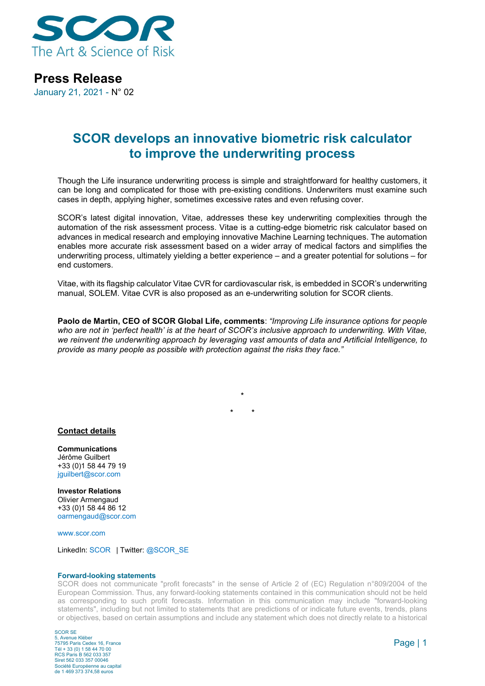

**Press Release**

January 21, 2021 - N° 02

## **SCOR develops an innovative biometric risk calculator to improve the underwriting process**

Though the Life insurance underwriting process is simple and straightforward for healthy customers, it can be long and complicated for those with pre-existing conditions. Underwriters must examine such cases in depth, applying higher, sometimes excessive rates and even refusing cover.

SCOR's latest digital innovation, Vitae, addresses these key underwriting complexities through the automation of the risk assessment process. Vitae is a cutting-edge biometric risk calculator based on advances in medical research and employing innovative Machine Learning techniques. The automation enables more accurate risk assessment based on a wider array of medical factors and simplifies the underwriting process, ultimately yielding a better experience – and a greater potential for solutions – for end customers.

Vitae, with its flagship calculator Vitae CVR for cardiovascular risk, is embedded in SCOR's underwriting manual, SOLEM. Vitae CVR is also proposed as an e-underwriting solution for SCOR clients.

**Paolo de Martin, CEO of SCOR Global Life, comments**: *"Improving Life insurance options for people who are not in 'perfect health' is at the heart of SCOR's inclusive approach to underwriting. With Vitae, we reinvent the underwriting approach by leveraging vast amounts of data and Artificial Intelligence, to provide as many people as possible with protection against the risks they face."*

> **\* \* \***

## **Contact details**

**Communications** Jérôme Guilbert +33 (0)1 58 44 79 19 [jguilbert@scor.com](mailto:jguilbert@scor.com)

**Investor Relations** Olivier Armengaud +33 (0)1 58 44 86 12 [oarmengaud@scor.com](mailto:oarmengaud@scor.com)

[www.scor.com](http://www.scor.com/en/)

LinkedIn: [SCOR](https://www.linkedin.com/company/11543) | Twitter[: @SCOR\\_SE](https://twitter.com/SCOR_SE)

## **Forward-looking statements**

SCOR does not communicate "profit forecasts" in the sense of Article 2 of (EC) Regulation n°809/2004 of the European Commission. Thus, any forward-looking statements contained in this communication should not be held as corresponding to such profit forecasts. Information in this communication may include "forward-looking statements", including but not limited to statements that are predictions of or indicate future events, trends, plans or objectives, based on certain assumptions and include any statement which does not directly relate to a historical

SCOR SE 5, Avenue Kléber 75795 Paris Cedex 16, France Tél + 33 (0) 1 58 44 70 00 RCS Paris B 562 033 357 Siret 562 033 357 00046 Société Européenne au capital de 1 469 373 374,58 euros